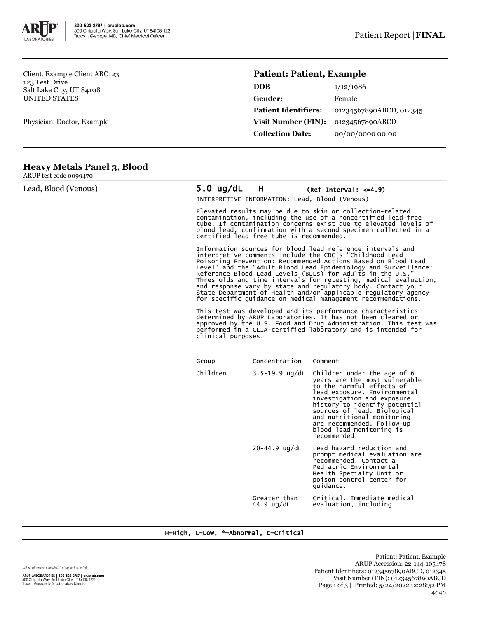

Client: Example Client ABC123 123 Test Drive Salt Lake City, UT 84108 UNITED STATES

Physician: Doctor, Example

# **Patient: Patient, Example**

| DOB                         | 1/12/1986               |
|-----------------------------|-------------------------|
| Gender:                     | Female                  |
| <b>Patient Identifiers:</b> | 01234567890ABCD, 012345 |
| Visit Number (FIN):         | 01234567890ABCD         |
| <b>Collection Date:</b>     | 00/00/0000 00:00        |

## **Heavy Metals Panel 3, Blood**

ARUP test code 0099470

| Lead, Blood (Venous) | $5.0 \text{ ug/dL}$                                                                                                                                                                                                                                                                                                                                                                                                                                                                                                                                                                                                                                                                                                                                                                                                                                                                                                                                                                                                                                                                                                                                                                                 | H                          | (Ref Interval: $\leq -4.9$ )                                                                                                                                                                                                                                                                                                    |  |  |
|----------------------|-----------------------------------------------------------------------------------------------------------------------------------------------------------------------------------------------------------------------------------------------------------------------------------------------------------------------------------------------------------------------------------------------------------------------------------------------------------------------------------------------------------------------------------------------------------------------------------------------------------------------------------------------------------------------------------------------------------------------------------------------------------------------------------------------------------------------------------------------------------------------------------------------------------------------------------------------------------------------------------------------------------------------------------------------------------------------------------------------------------------------------------------------------------------------------------------------------|----------------------------|---------------------------------------------------------------------------------------------------------------------------------------------------------------------------------------------------------------------------------------------------------------------------------------------------------------------------------|--|--|
|                      | INTERPRETIVE INFORMATION: Lead, Blood (Venous)                                                                                                                                                                                                                                                                                                                                                                                                                                                                                                                                                                                                                                                                                                                                                                                                                                                                                                                                                                                                                                                                                                                                                      |                            |                                                                                                                                                                                                                                                                                                                                 |  |  |
|                      | Elevated results may be due to skin or collection-related<br>contamination, including the use of a noncertified lead-free<br>tube. If contamination concerns exist due to elevated levels of<br>blood lead, confirmation with a second specimen collected in a<br>certified lead-free tube is recommended.<br>Information sources for blood lead reference intervals and<br>interpretive comments include the CDC's "Childhood Lead<br>Poisoning Prevention: Recommended Actions Based on Blood Lead<br>Level" and the "Adult Blood Lead Epidemiology and Surveillance:<br>Reference Blood Lead Levels (BLLs) for Adults in the U.S."<br>Thresholds and time intervals for retesting, medical evaluation,<br>and response vary by state and regulatory body. Contact your<br>State Department of Health and/or applicable regulatory agency<br>for specific quidance on medical management recommendations.<br>This test was developed and its performance characteristics<br>determined by ARUP Laboratories. It has not been cleared or<br>approved by the U.S. Food and Drug Administration. This test was<br>performed in a CLIA-certified laboratory and is intended for<br>clinical purposes. |                            |                                                                                                                                                                                                                                                                                                                                 |  |  |
|                      |                                                                                                                                                                                                                                                                                                                                                                                                                                                                                                                                                                                                                                                                                                                                                                                                                                                                                                                                                                                                                                                                                                                                                                                                     |                            |                                                                                                                                                                                                                                                                                                                                 |  |  |
|                      |                                                                                                                                                                                                                                                                                                                                                                                                                                                                                                                                                                                                                                                                                                                                                                                                                                                                                                                                                                                                                                                                                                                                                                                                     |                            |                                                                                                                                                                                                                                                                                                                                 |  |  |
|                      | Group                                                                                                                                                                                                                                                                                                                                                                                                                                                                                                                                                                                                                                                                                                                                                                                                                                                                                                                                                                                                                                                                                                                                                                                               | Concentration              | Comment                                                                                                                                                                                                                                                                                                                         |  |  |
|                      | Children                                                                                                                                                                                                                                                                                                                                                                                                                                                                                                                                                                                                                                                                                                                                                                                                                                                                                                                                                                                                                                                                                                                                                                                            | $3.5 - 19.9$ ug/dL         | Children under the age of 6<br>years are the most vulnerable<br>to the harmful effects of<br>lead exposure. Environmental<br>investigation and exposure<br>history to identify potential<br>sources of lead. Biological<br>and nutritional monitoring<br>are recommended. Follow-up<br>blood lead monitoring is<br>recommended. |  |  |
|                      |                                                                                                                                                                                                                                                                                                                                                                                                                                                                                                                                                                                                                                                                                                                                                                                                                                                                                                                                                                                                                                                                                                                                                                                                     | $20 - 44.9$ ug/dL          | Lead hazard reduction and<br>prompt medical evaluation are<br>recommended. Contact a<br>Pediatric Environmental<br>Health Specialty Unit or<br>poison control center for<br>quidance.                                                                                                                                           |  |  |
|                      |                                                                                                                                                                                                                                                                                                                                                                                                                                                                                                                                                                                                                                                                                                                                                                                                                                                                                                                                                                                                                                                                                                                                                                                                     | Greater than<br>44.9 ug/dL | Critical. Immediate medical<br>evaluation, including                                                                                                                                                                                                                                                                            |  |  |

### H=High, L=Low, \*=Abnormal, C=Critical

Unless otherwise indicated, testing performed at: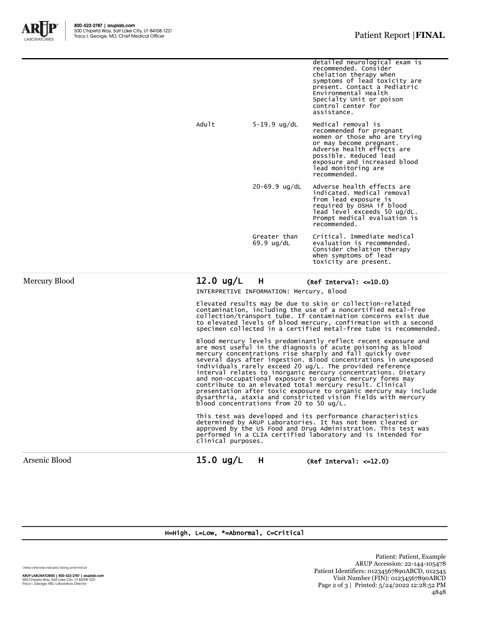

|          |                            | detailed neurological exam is<br>recommended. Consider<br>chelation therapy when<br>symptoms of lead toxicity are<br>present. Contact a Pediatric<br>Environmental Health<br>Specialty Unit or poison<br>control center for<br>assistance. |
|----------|----------------------------|--------------------------------------------------------------------------------------------------------------------------------------------------------------------------------------------------------------------------------------------|
| Adu $1t$ | $5 - 19.9$ ug/dL           | Medical removal is<br>recommended for pregnant<br>women or those who are trying<br>or may become pregnant.<br>Adverse health effects are<br>possible. Reduced lead<br>exposure and increased blood<br>lead monitoring are<br>recommended.  |
|          | $20-69.9$ ug/dL            | Adverse health effects are<br>indicated. Medical removal<br>from lead exposure is<br>required by OSHA if blood<br>lead level exceeds 50 ug/dL.<br>Prompt medical evaluation is<br>recommended.                                             |
|          | Greater than<br>69.9 ug/dL | Critical. Immediate medical<br>evaluation is recommended.<br>Consider chelation therapy<br>when symptoms of lead<br>toxicity are present.                                                                                                  |
|          |                            |                                                                                                                                                                                                                                            |

Mercury Blood **12.0 ug/L** H (Ref Interval: <=10.0)

INTERPRETIVE INFORMATION: Mercury, Blood

Elevated results may be due to skin or collection-related contamination, including the use of a noncertified metal-free<br>collection/transport tube. If contamination concerns exist due<br>to elevated levels of blood mercury, confirmation with a second<br>specimen collected in a certified

Blood mercury levels predominantly reflect recent exposure and are most useful in the diagnosis of acute poisoning as blood mercury concentrations rise sharply and fall quickly over several days after ingestion. Blood concentrations in unexposed individuals rarely exceed 20 ug/L. The provided reference interval relates to inorganic mercury concentrations. Dietary and non-occupational exposure to organic mercury forms may contribute to an elevated total mercury result. Clinical presentation after toxic exposure to organic mercury may include dysarthria, ataxia and constricted vision fields with mercury blood concentrations from 20 to 50 ug/L.

This test was developed and its performance characteristics determined by ARUP Laboratories. It has not been cleared or approved by the US Food and Drug Administration. This test was performed in a CLIA certified laboratory and is intended for clinical purposes.

Arsenic Blood 15.0 ug/L H (Ref Interval: <=12.0)

H=High, L=Low, \*=Abnormal, C=Critical

Unless otherwise indicated, testing performed at:

**ARUP LABORATORIES | 800-522-2787 | aruplab.com**<br>500 Chipeta Way, Salt Lake City, UT 84108-1221<br>Tracy I. George, MD, Laboratory Director

Patient: Patient, Example ARUP Accession: 22-144-105478 Patient Identifiers: 01234567890ABCD, 012345 Visit Number (FIN): 01234567890ABCD Page 2 of 3 | Printed: 5/24/2022 12:28:52 PM 4848